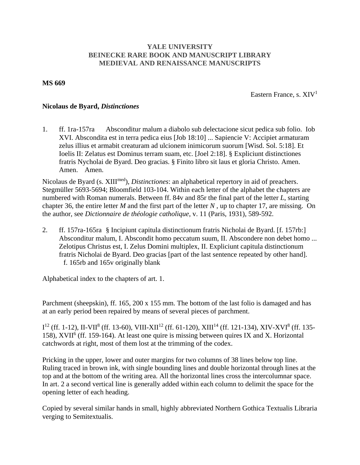## **YALE UNIVERSITY BEINECKE RARE BOOK AND MANUSCRIPT LIBRARY MEDIEVAL AND RENAISSANCE MANUSCRIPTS**

## **MS 669**

Eastern France, s.  $XIV<sup>1</sup>$ 

## **Nicolaus de Byard,** *Distinctiones*

1. ff. 1ra-157ra Absconditur malum a diabolo sub delectacione sicut pedica sub folio. Iob XVI. Abscondita est in terra pedica eius [Job 18:10] ... Sapiencie V: Accipiet armaturam zelus illius et armabit creaturam ad ulcionem inimicorum suorum [Wisd. Sol. 5:18]. Et Ioelis II: Zelatus est Dominus terram suam, etc. [Joel 2:18]. § Expliciunt distinctiones fratris Nycholai de Byard. Deo gracias. § Finito libro sit laus et gloria Christo. Amen. Amen. Amen.

Nicolaus de Byard (s. XIIImed), *Distinctiones*: an alphabetical repertory in aid of preachers. Stegmüller 5693-5694; Bloomfield 103-104. Within each letter of the alphabet the chapters are numbered with Roman numerals. Between ff. 84v and 85r the final part of the letter *L*, starting chapter 36, the entire letter *M* and the first part of the letter *N* , up to chapter 17, are missing. On the author, see *Dictionnaire de théologie catholique*, v. 11 (Paris, 1931), 589-592.

2. ff. 157ra-165ra § Incipiunt capitula distinctionum fratris Nicholai de Byard. [f. 157rb:] Absconditur malum, I. Abscondit homo peccatum suum, II. Abscondere non debet homo ... Zelotipus Christus est, I. Zelus Domini multiplex, II. Expliciunt capitula distinctionum fratris Nicholai de Byard. Deo gracias [part of the last sentence repeated by other hand]. f. 165rb and 165v originally blank

Alphabetical index to the chapters of art. 1.

Parchment (sheepskin), ff. 165, 200 x 155 mm. The bottom of the last folio is damaged and has at an early period been repaired by means of several pieces of parchment.

 ${\rm I}^{12}$  (ff. 1-12), II-VII<sup>8</sup> (ff. 13-60), VIII-XII<sup>12</sup> (ff. 61-120), XIII<sup>14</sup> (ff. 121-134), XIV-XVI<sup>8</sup> (ff. 135-158), XVII<sup>6</sup> (ff. 159-164). At least one quire is missing between quires IX and X. Horizontal catchwords at right, most of them lost at the trimming of the codex.

Pricking in the upper, lower and outer margins for two columns of 38 lines below top line. Ruling traced in brown ink, with single bounding lines and double horizontal through lines at the top and at the bottom of the writing area. All the horizontal lines cross the intercolumnar space. In art. 2 a second vertical line is generally added within each column to delimit the space for the opening letter of each heading.

Copied by several similar hands in small, highly abbreviated Northern Gothica Textualis Libraria verging to Semitextualis.